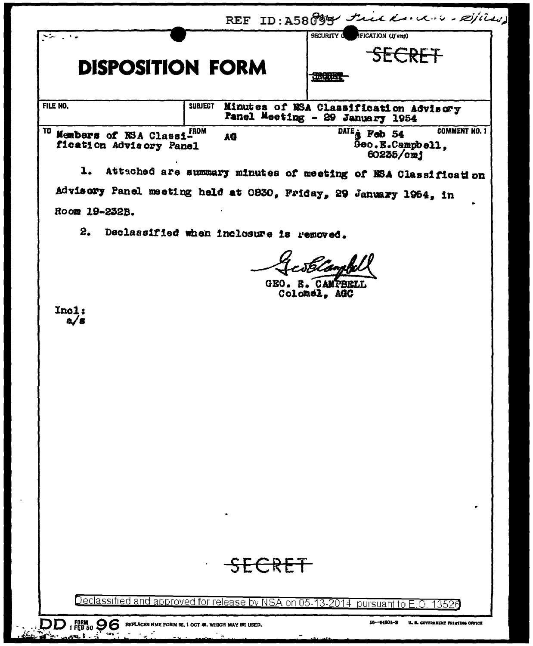|                                                                                                  |        | REF ID: A58099 trick kan und - expired                                                             |  |  |
|--------------------------------------------------------------------------------------------------|--------|----------------------------------------------------------------------------------------------------|--|--|
| $\sim$ 1.00<br><b>DISPOSITION FORM</b>                                                           |        | <b>SECURITY O</b><br><b>IFICATION</b> (If any)<br>SECRET<br><b>SISSERIES</b>                       |  |  |
| FILE NO.<br>SUBJECT<br>Minutes of NSA Classification Advisory<br>Panel Meeting - 29 January 1954 |        |                                                                                                    |  |  |
| TO<br>Members of NSA Classi-RDM<br>fication Advisory Panel                                       | AG     | <b>COMMENT NO. 1</b><br>DATE <sub><sup>2</sup></sub> Fab 54<br>$0$ eo.E. $Camp$ ell,<br>60235 / cm |  |  |
| Attached are summary minutes of meeting of NSA Classification                                    |        |                                                                                                    |  |  |
| Advisory Panel meeting held at 0830, Friday, 29 January 1954, in                                 |        |                                                                                                    |  |  |
| Room 19-232B.                                                                                    |        |                                                                                                    |  |  |
| 2. Declassified when inclosure is removed.                                                       |        |                                                                                                    |  |  |
| Incl:<br>a/s                                                                                     |        | Scamp<br>GEO. E. CAMPBELL<br>Colomel, AGC                                                          |  |  |
|                                                                                                  | SECRET |                                                                                                    |  |  |
|                                                                                                  |        |                                                                                                    |  |  |
|                                                                                                  |        | Declassified and approved for release by NSA on 05-13-2014 pursuant to E.O. 13525                  |  |  |

DD 1 FEB 50 D G REPLACES NME FORM 96, 1 OCT 48, WHICH MAY BE USED.

16-54801-3 U. S. COVERNMENT PRINTING OFFICE

- 14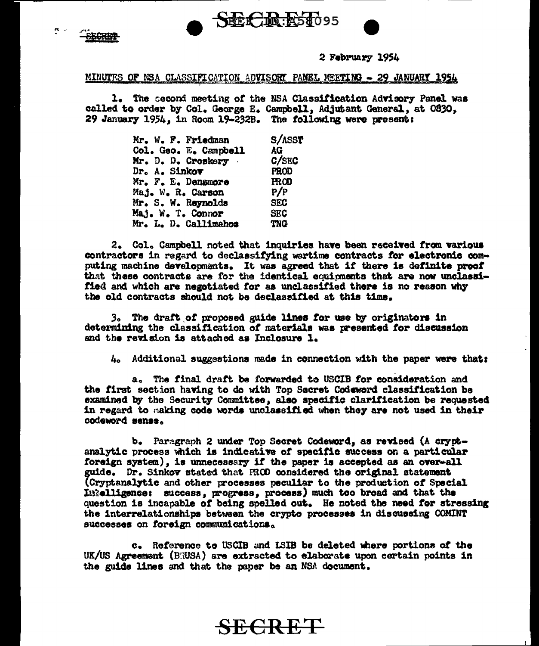



 $\mathbf{R}$  .

#### 2 February 1954

#### MINUTES OF NSA CLASSIFICATION ADVISORY PANEL MEETING - 29 JANUARY 1954

1. The second meeting of the NSA Classification Advisory Panel was called to order by Col. George E. Campbell, Adjutant General, at 0830, 29 January 1954, in Room 19-232B. The following were present:

|               | Mr. W. F. Friedman    | S/ASST      |
|---------------|-----------------------|-------------|
|               | Col. Geo. E. Campbell | AG          |
|               | Mr. D. D. Croskery    | C/SEC       |
| Dr. A. Sinkov |                       | <b>PROD</b> |
|               | Mr. F. E. Densmore    | <b>FROD</b> |
|               | Maj. W. R. Carson     | P/P         |
|               | Mr. S. W. Reynolds    | <b>SEC</b>  |
|               | Maj. W. T. Connor     | <b>SEC</b>  |
|               | Mr. L. D. Callimahos  | <b>TNG</b>  |

2. Col. Campbell noted that inquiries have been received from various contractors in regard to declassifying wartime contracts for electronic computing machine developments. It was agreed that if there is definite proof that these contracts are for the identical equipments that are now unclassified and which are negotiated for as unclassified there is no reason why the old contracts should not be declassified at this time.

3. The draft of proposed guide lines for use by originators in determining the classification of materials was presented for discussion and the revision is attached as Inclosure 1.

4. Additional suggestions made in connection with the paper were that:

a. The final draft be forwarded to USCIB for consideration and the first section having to do with Top Secret Codeword classification be examined by the Security Committee, also specific clarification be requested in regard to making code words unclassified when they are not used in their codeword sense.

b. Paragraph 2 under Top Secret Codeword, as revised (A cryptanalytic process which is indicative of specific success on a particular foreign system), is unnecessary if the paper is accepted as an over-all guide. Dr. Sinkov stated that FROD considered the original statement (Cryptanalytic and other processes peculiar to the production of Special Intelligence: success, progress, process) much too broad and that the question is incapable of being spelled out. He noted the need for stressing the interrelationships between the crypto processes in discussing COMINT successes on foreign communications.

c. Reference to USCIB and ISIB be deleted where portions of the UK/US Agreement (BRUSA) are extracted to elaborate upon certain points in the guide lines and that the paper be an NSA document.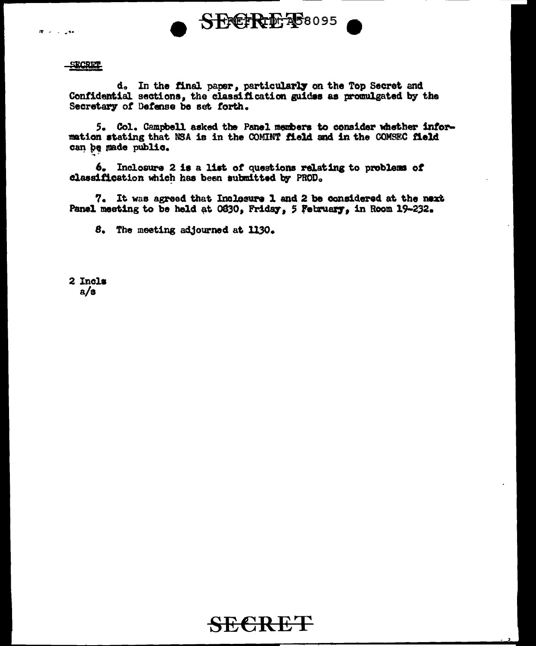

#### SECRET

 $\mathbf{R}^{\prime} = \mathbf{R}^{\prime}$  , where

d. In the final paper, particularly on the Top Secret and Confidential sections, the classification guides as promulgated by the Secretary of Defense be set forth.

5. Col. Campbell asked the Panel members to consider whether information stating that NSA is in the COMINT field and in the COMSEC field can be made public.

6. Inclosure 2 is a list of questions relating to problems of classification which has been submitted by PROD.

7. It was agreed that Inclosure 1 and 2 be considered at the next Panel meeting to be held at 0830, Friday, 5 February, in Room 19-232.

8. The meeting adjourned at 1130.

2 Incls  $a/s$ 

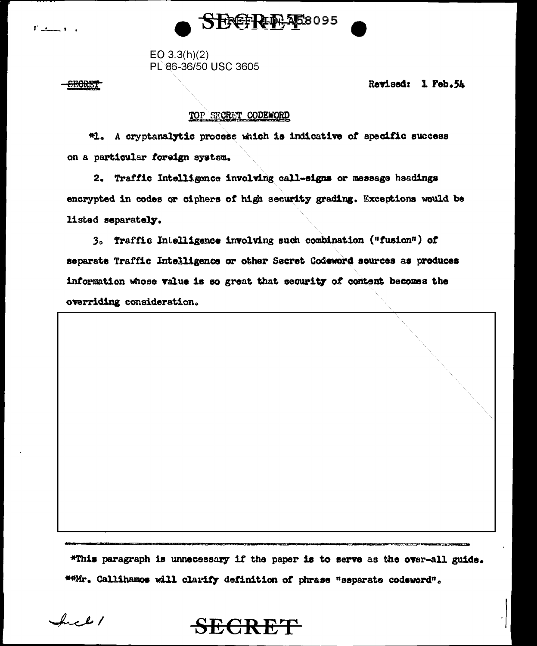

 $EO$  3.3(h)(2) PL 86-36/50 USC 3605

**SECRET** 

 $\mathbf{F}$  is the set of  $\mathbf{F}$ 

Revised: 1 Feb.54

## TOP SECRET CODEWORD

机. A cryptanalytic process which is indicative of specific success on a particular foreign system.

2. Traffic Intelligence involving call-signs or message headings encrypted in codes or ciphers of high security grading. Exceptions would be listed separately.

3. Traffic Intelligence involving such combination ("fusion") of separate Traffic Intelligence or other Secret Codeword sources as produces information whose value is so great that security of content becomes the overriding consideration.

\*This paragraph is unnecessary if the paper is to serve as the over-all guide. \*\*Mr. Callihamos will clarify definition of phrase "separate codeword".

Incl /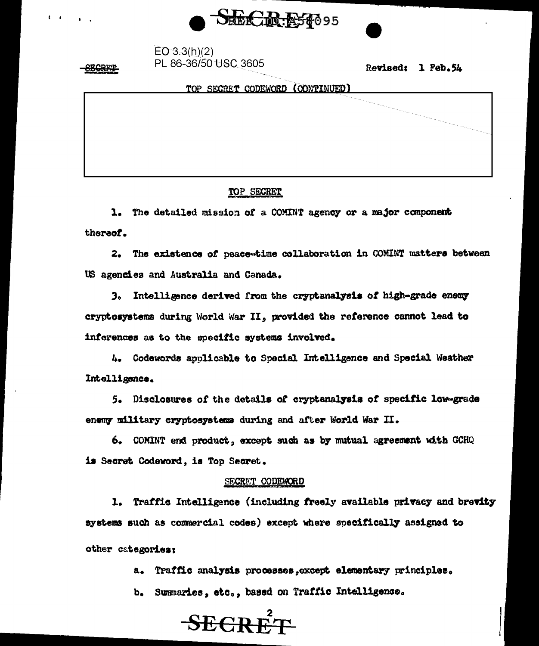

| EO 3.3(h)(2)         |
|----------------------|
| PL 86-36/50 USC 3605 |

Revised: 1 Feb.54

TOP SECRET CODEWORD (CONTINUED)

## TOP SECRET

1. The detailed mission of a COMINT agency or a major component thereof.

2. The existence of peace-time collaboration in COMINT matters between US agencies and Australia and Canada.

Intelligence derived from the cryptanalysis of high-grade enemy  $3<sub>o</sub>$ cryptosystems during World War II, provided the reference cannot lead to inferences as to the specific systems involved.

4. Codewords applicable to Special Intelligence and Special Weather Intelligence.

5. Disclosures of the details of cryptanalysis of specific low-grade enemy military cryptosystems during and after World War II.

6. COMINT end product, except such as by mutual agreement with GCHQ is Secret Codeword, is Top Secret.

### SECRET CODEWORD

1. Traffic Intelligence (including freely available privacy and brevity systems such as commercial codes) except where specifically assigned to other categories:

> Traffic analysis processes, except elementary principles. a.

b. Summaries, etc., based on Traffic Intelligence.

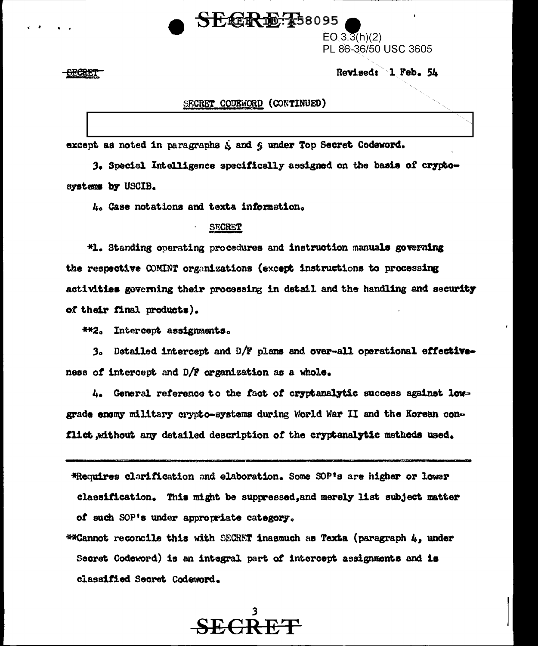## $SEER$  $E:58095$

 $EO(3.\overline{3}(h)(2))$ PL 86-36/50 USC 3605

Revised: 1 Feb. 54

<del>SECRIT</del>

### SECRET CODEWORD (CONTINUED)

except as noted in paragraphs & and 6 under Top Secret Codeword.

3. Special Intelligence specifically assigned on the basis of cryckosystems by USCIB.

4. Case notations and texta information.

#### **SECRET**

\*1. Standing operating procedures and instruction manuals governing the respective COMINT organizations (except instructions to processing activities governing their processing in detail and the handling and security of their final products).

**\*\*2.** Intercept assignments.

3. Detailed intercept and D/F plans and over-all operational effectiveness of intercept and D/F organization as a whole.

4. General reference to the fact of cryptanalytic success against lowgrade enemy military crypto-systems during World War II and the Korean conflict, without any detailed description of the cryptanalytic methods used.

\*Requires clarification and elaboration. Some SOP's are higher or lower classification. This might be suppressed, and merely list subject matter of such SOP's under appropriate category.

**\*\*Cannot reconcile this with SECRET inasmuch as Texta (paragraph**  $l_t$ **, under** Secret Codeword) is an integral part of intercept assignments and is classified Secret Codeword.

SE CR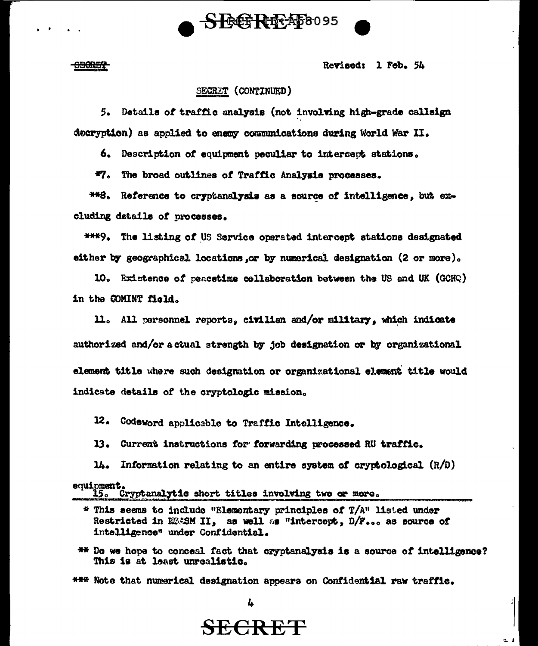

**CECRET** 

Revised: 1 Feb. 54

#### SECRET (CONTINUED)

5. Details of traffic analysis (not involving high-grade callsign decryption) as applied to enemy communications during World War II.

6. Description of equipment peculiar to intercept stations.

\*7. The broad outlines of Traffic Analysis processes.

\*\*8. Reference to cryptanalysis as a source of intelligence, but excluding details of processes.

\*\*\*9. The listing of US Service operated intercept stations designated either by geographical locations or by numerical designation (2 or more).

10. Existence of peacetime collaboration between the US and UK (GCHQ) in the COMINT field.

11. All personnel reports, civilian and/or military, which indicate authorized and/or a ctual strength by job designation or by organizational element title where such designation or organizational element title would indicate details of the cryptologic mission.

12. Codeword applicable to Traffic Intelligence.

13. Current instructions for forwarding processed RU traffic.

14. Information relating to an entire system of cryptological  $(R/D)$ equipment.

15. Cryptanalytic short titles involving two or more.

\*\* Do we hope to conceal fact that cryptanalysis is a source of intelligence? This is at least unrealistic.

\*\*\* Note that numerical designation appears on Confidential raw traffic.

4

 $*$  This seems to include "Elementary principles of  $T/A$ " listed under Restricted in NMASM II, as well as "intercept, D/F... as source of intelligence" under Confidential.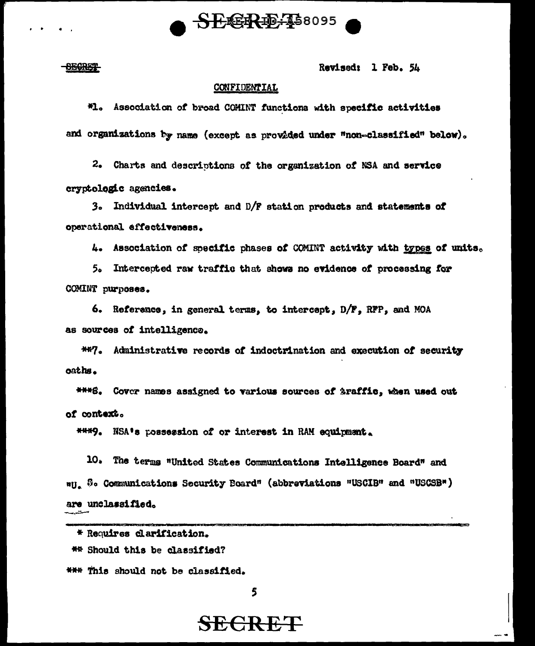

### **OECRET**

Revised: 1 Feb. 54

#### CONFIDENTIAL

#1. Association of broad COMINT functions with specific activities and organizations by name (except as provided under "non-classified" below).

2. Charts and descriptions of the organization of NSA and service cryptologic agencies.

3. Individual intercept and D/F station products and statements of operational effectiveness.

4. Association of specific phases of COMINT activity with types of units.

5. Intercepted raw traffic that shows no evidence of processing for COMINT purposes.

6. Reference, in general terms, to intercept, D/F, RFP, and MOA as sources of intelligence.

\*\*7. Administrative records of indoctrination and execution of security oaths.

\*\*\*\*S. Cover names assigned to various sources of \$raffic, when used out of context.

\*\*\*9. NSA's possession of or interest in RAM equipment.

10. The terms "United States Communications Intelligence Board" and "U. S. Communications Security Board" (abbreviations "USCIB" and "USCSB") are unclassified. - 14

\* Requires clarification. \*\* Should this be classified? \*\*\* This should not be classified.

5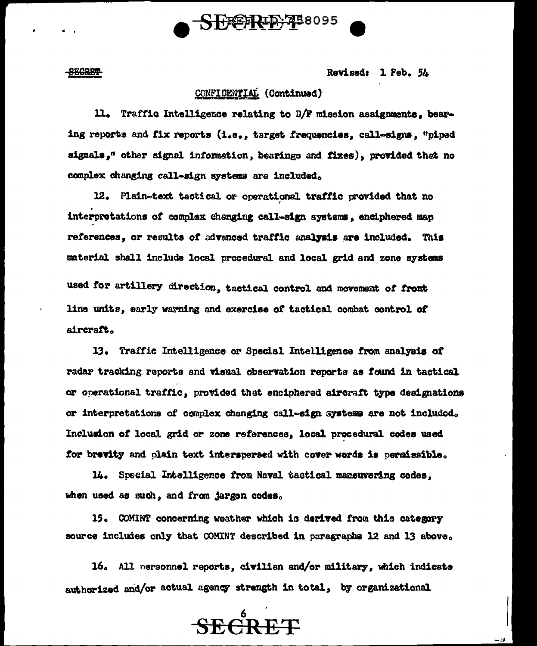

**SECRET** 

aircraft.

Revised: 1 Feb. 54

## CONFIDENTIAL (Continued)

11. Traffic Intelligence relating to D/F mission assignments, bearing reports and fix reports (i.e., target frequencies, call-signs, "piped signals," other signal information, bearings and fixes), provided that no complex changing call-sign systems are included.

12. Plain-text tactical or operational traffic provided that no interpretations of complex changing call-sign systems, enciphered map references, or results of advanced traffic analysis are included. This material shall include local procedural and local grid and zone systems used for artillery direction, tactical control and movement of front line units, early warning and exercise of tactical combat control of

13. Traffic Intelligence or Special Intelligence from analysis of radar tracking reports and visual observation reports as found in tactical or operational traffic, provided that enciphered aircraft type designations or interpretations of complex changing call-sign systems are not included. Inclusion of local grid or zone references, local procedural codes used for brevity and plain text interspersed with cover words is permissible.

14. Special Intelligence from Naval tactical maneuvering codes. when used as such, and from jargon codes.

15. COMINT concerning weather which is derived from this category source includes only that COMINT described in paragraphs 12 and 13 above.

16. All nersonnel reports, civilian and/or military, which indicate authorized and/or actual agency strength in total, by organizational

**SECRET**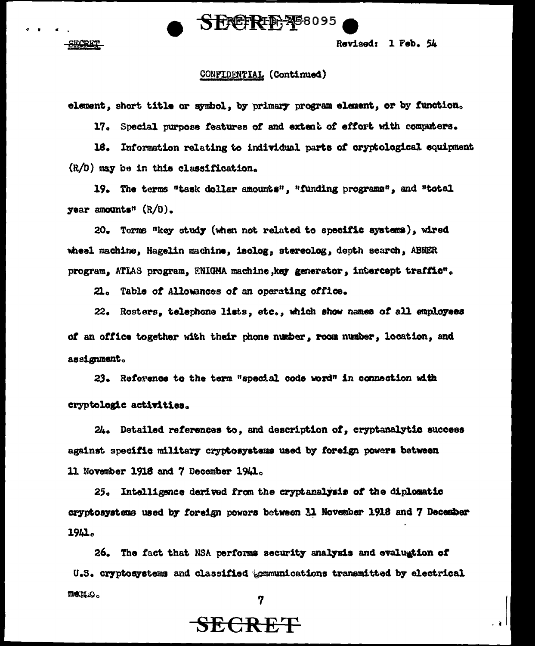

SECRET

Revised: 1 Feb. 54

#### CONFIDENTIAL (Continued)

element, short title or symbol, by primary program element, or by function.

17. Special purpose features of and extent of effort with computers.

18. Information relating to individual parts of cryptological equipment  $(R/D)$  may be in this classification.

19. The terms "task dollar amounts", "funding programs", and "total year amounts" (R/D).

20. Terms "key study (when not related to specific systems), wired wheel machine, Hagelin machine, isolog, stereolog, depth search, ABNER program, ATLAS program, ENIGMA machine, key generator, intercept traffic".

21. Table of Allowances of an operating office.

22. Rosters, telephone lists, etc., which show names of all employees of an office together with their phone number, room number, location, and assignment.

23. Reference to the term "special code word" in connection with cryptologic activities.

24. Detailed references to, and description of, cryptanalytic success against specific military cryptosystems used by foreign powers between 11 November 1918 and 7 December 1941.

25. Intelligence derived from the cryptanalysis of the diplomatic cryptosystems used by foreign powers between 11 November 1918 and 7 December 1941.

26. The fact that NSA performs security analysis and evaluation of U.S. cryptosystems and classified beamunications transmitted by electrical measo.

7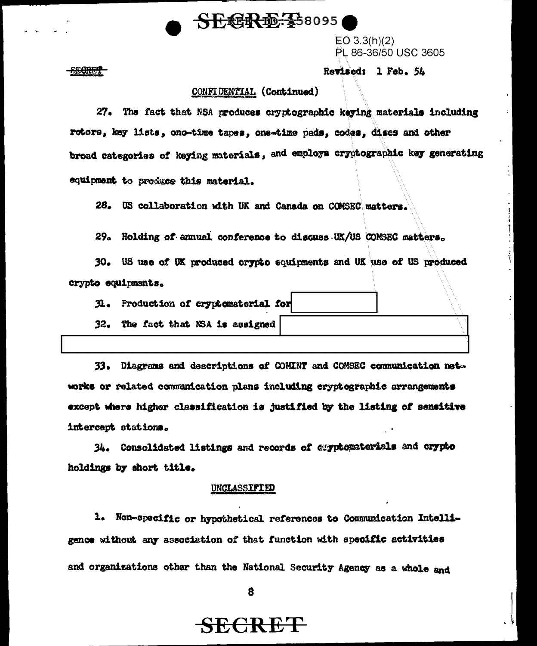# SECR 配卡58095

 $EO 3.3(h)(2)$ PL 86-36/50 USC 3605

#### <del>SECRET</del>

#### Revised: 1 Feb. 54

#### CONFIDENTIAL (Continued)

27. The fact that NSA produces cryptographic keying materials including rotors, key lists, one-time tapes, one-time pads, codes, discs and other broad categories of keying materials, and employs cryptographic key generating equipment to preduce this material.

26. US collaboration with UK and Canada on COMSEC matters.

 $29a$ Holding of annual conference to discuss UK/US COMSEC matters.

US use of UK produced crypto equipments and UK use of US produced 30. crypto equipments.

Production of cryptomaterial for 31.

32. The fact that NSA is assigned

 $33.$ Diagrams and descriptions of COMINT and COMSEC communication networks or related communication plans including cryptographic arrangements except where higher classification is justified by the listing of sensitive intercept stations.

34. Consolidated listings and records of cyptomaterials and crypto holdings by short title.

#### UNCLASSIFIED

1. Non-specific or hypothetical references to Communication Intelligence without any association of that function with specific activities and organizations other than the National Security Agency as a whole and

8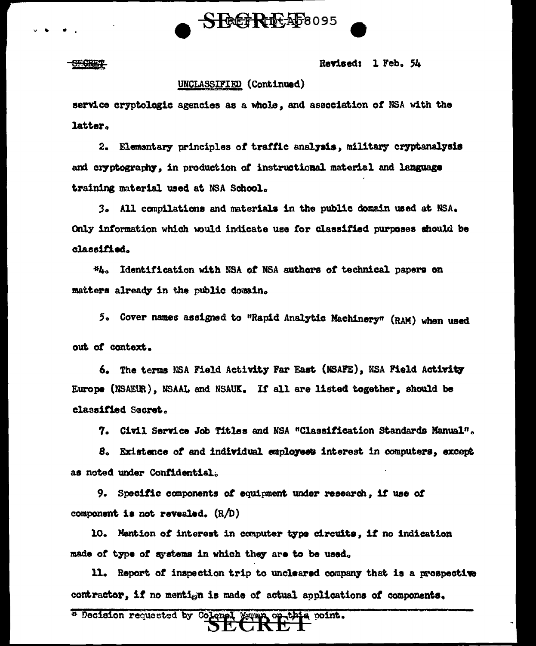

SHORET

Revised: 1 Feb. 54

### UNCLASSIFIED (Continued)

service cryptologic agencies as a whole, and association of NSA with the latter.

2. Elementary principles of traffic analysis, military cryptanalysis and cryptography, in production of instructional material and language training material used at NSA School.

3. All compilations and materials in the public domain used at NSA. Only information which would indicate use for classified purposes should be classified.

\*4. Identification with NSA of NSA authors of technical papers on matters already in the public domain.

5. Cover names assigned to "Rapid Analytic Machinery" (RAM) when used out of context.

6. The terms NSA Field Activity Far East (NSAFE), NSA Field Activity Europe (NSAEUR), NSAAL and NSAUK. If all are listed together, should be classified Secret.

7. Civil Service Job Titles and NSA "Classification Standards Manual".

8. Existence of and individual employees interest in computers, except as noted under Confidential.

9. Specific components of equipment under research, if use of component is not revealed. (R/D)

10. Mention of interest in computer type circuits, if no indication made of type of systems in which they are to be used.

11. Report of inspection trip to uncleared company that is a prospective contractor, if no mentign is made of actual applications of components.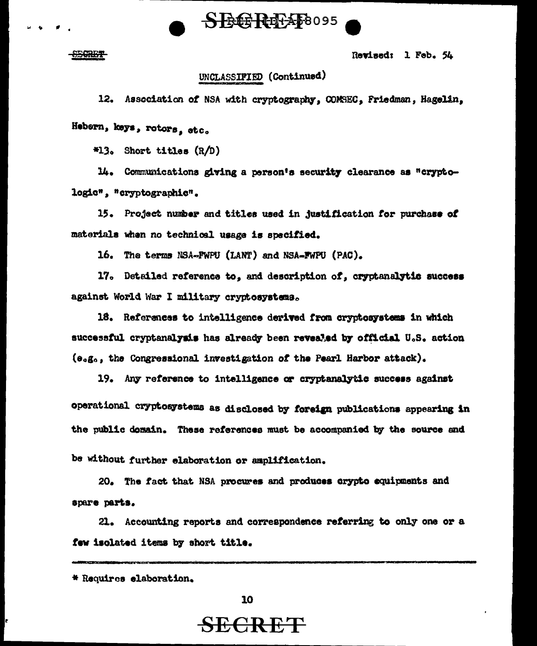

**Berry** 

Revised: 1 Feb. 54

## UNCLASSIFIED (Continued)

12. Association of NSA with cryptography, COMSEC, Friedman, Hagelin,

Hebern, keys, rotors, etc.

 $*13.$  Short titles  $(R/D)$ 

14. Communications giving a person's security clearance as "cryptologic", "cryptographic".

15. Project number and titles used in justification for purchase of materials when no technical usage is specified.

16. The terms NSA-FWPU (LANT) and NSA-FWPU (PAC).

17. Detailed reference to, and description of, cryptanalytic success against World War I military cryptosystems.

18. References to intelligence derived from cryptosystems in which successful cryptanalysis has already been revealed by official U.S. action (e.g., the Congressional investigation of the Pearl Harbor attack).

19. Any reference to intelligence or cryptanalytic success against operational cryptosystems as disclosed by foreign publications appearing in the public domain. These references must be accompanied by the source and

be without further elaboration or amplification.

20. The fact that NSA procures and produces crypto equipments and spare parts.

21. Accounting reports and correspondence referring to only one or a few isolated items by short title.

<sup>\*</sup> Requires elaboration.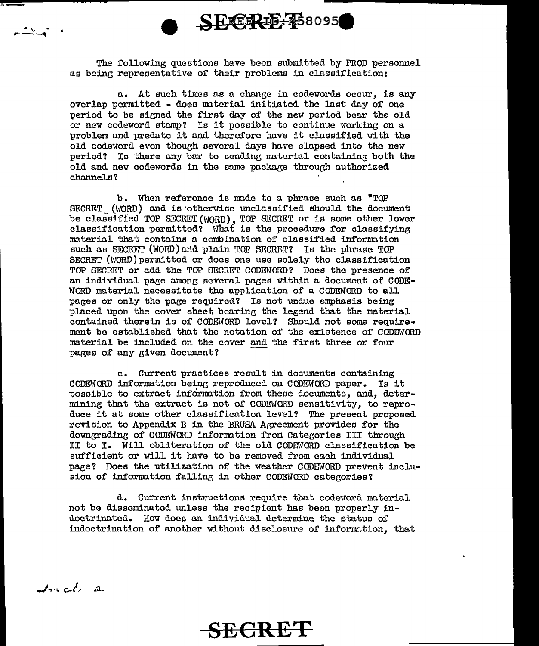The following questions have been submitted by FROD personnel as being representative of their problems in classification:

a. At such times as a change in codewords occur. is any overlap permitted - does material initiated the last day of one period to be signed the first day of the new period bear the old or new codeword stamp? Is it possible to continue working on a problem and predate it and therefore have it classified with the old codeword even though several days have clapsed into the new period? Is there any bar to sending material containing both the old and new codewords in the same package through authorized channels?

b. When reference is made to a phrase such as "TOP SECRET (WORD) and is otherwise unclassified should the document be classified TOP SECRET (WORD), TOP SECRET or is some other lower classification permitted? What is the procedure for classifying material that contains a combination of classified information such as SECRET (WORD) and plain TOP SECRET? Is the phrase TOP SECRET (WORD) permitted or does one use solely the classification TOP SECRET or add the TOP SECRET CODEWORD? Does the presence of an individual page among several pages within a document of CODE-WORD material necessitate the application of a CODEWORD to all pages or only the page required? Is not undue emphasis being placed upon the cover sheet bearing the legend that the material contained therein is of CODEWORD level? Should not some require. ment be established that the notation of the existence of CODEWORD material be included on the cover and the first three or four pages of any given document?

c. Current practices result in documents containing CODEWORD information being reproduced on CODEWORD paper. Is it possible to extract information from these documents, and, determining that the extract is not of CODEWORD sensitivity, to reproduce it at some other classification level? The present proposed revision to Appendix B in the BRUSA Agreement provides for the downgrading of CODEWORD information from Categories III through II to I. Will obliteration of the old CODEWORD classification be sufficient or will it have to be removed from each individual page? Does the utilization of the weather CODEWORD prevent inclusion of information falling in other CODEWORD categories?

d. Current instructions require that codeword material not be disseminated unless the recipient has been properly indoctrinated. How does an individual determine the status of indoctrination of another without disclosure of information. that

Incl 2

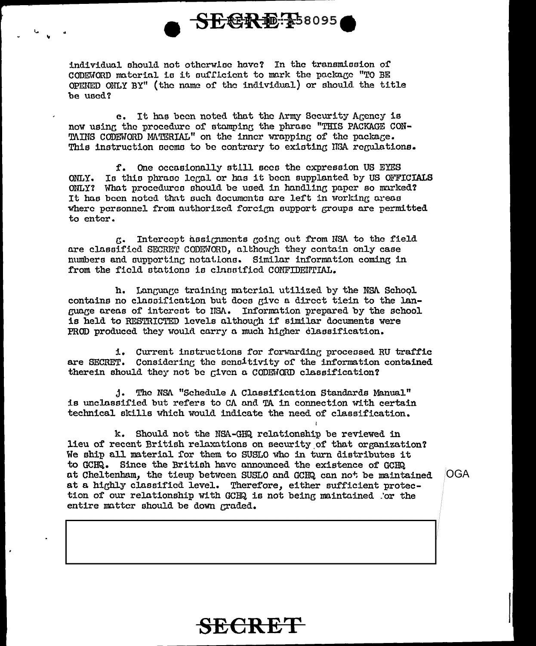

individual should not otherwise have? In the transmission of CODEWORD material is it sufficient to mark the package "TO BE OPENED ONLY BY" (the name of the individual) or should the title he used?

e. It has been noted that the Army Security Agency is now using the procedure of stamping the phrase "THIS PACKAGE CON-TAINS CODEWORD MATERIAL" on the inner wrapping of the package. This instruction seems to be contrary to existing NSA regulations.

f. One occasionally still sees the expression US EYES ONLY. Is this phrase legal or has it been supplanted by US OFFICIALS ONLY? What procedures should be used in handling paper so marked? It has been noted that such documents are left in working areas where personnel from authorized forcign support groups are permitted to enter.

K. Intercept assignments going out from NSA to the field are classified SECRET CODEWORD, although they contain only case numbers and supporting notations. Similar information coming in from the field stations is classified CONFIDENTIAL.

h. Language training material utilized by the NSA School contains no classification but does give a direct tiein to the language areas of interest to NSA. Information prepared by the school is held to RESTRICTED levels although if similar documents were PROD produced they would carry a much higher classification.

i. Current instructions for forwarding processed RU traffic are SECRET. Considering the sensitivity of the information contained therein should they not be given a CODENORD classification?

j. The NSA "Schedule A Classification Standards Manual" is unclassified but refers to CA and TA in connection with certain technical skills which would indicate the need of classification.

k. Should not the NSA-GHQ relationship be reviewed in lieu of recent British relaxations on security of that organization? We ship all material for them to SUSLO who in turn distributes it to GCHQ. Since the British have announced the existence of GCHQ at Cheltenham, the tieup between SUSLO and GCHQ can not be maintained at a highly classified level. Therefore, either sufficient protection of our relationship with GCHQ is not being maintained for the entire matter should be down graded.

**OGA** 

# **YECRET**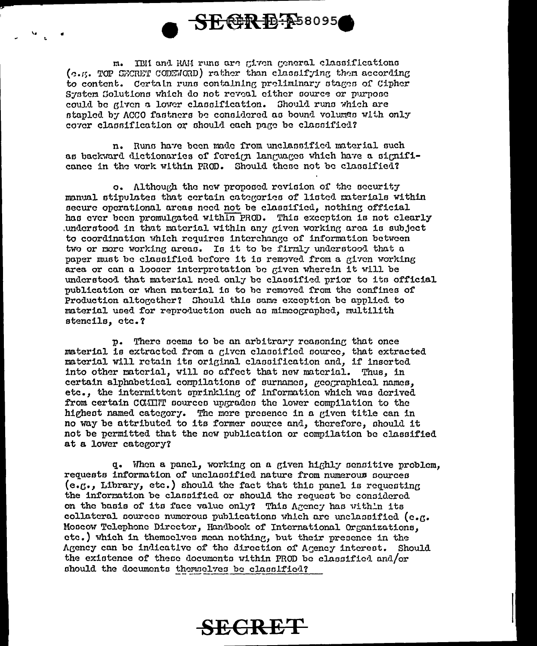

m. IBH and RAM runs are given general classifications (c.g. TOP SECRET CODENORD) rather than classifying them according to content. Certain runs containing preliminary stages of Cipher System Colutions which do not reveal either source or purpose could be given a lower classification. Should runs which are stapled by ACCO fastners be considered as bound volumes with only cover classification or should each page be classified?

n. Runs have been made from unclassified material such as backward dictionaries of foreign languages which have a significance in the work within PROD. Should these not be classified?

o. Although the new proposed revision of the security manual stinulates that certain categories of listed materials within secure operational areas need not be classified, nothing official has ever been promulgated within PROD. This execution is not clearly understood in that material within any given working area is subject to coordination which requires interchange of information between two or more working areas. Is it to be firmly understood that a paper must be classified before it is removed from a given working area or can a looser interpretation be given wherein it will be understood that material need only be classified prior to its official publication or when material is to be removed from the confines of Production altogether? Should this same exception be applied to material used for reproduction such as mimeographed, multilith stencils, ctc.?

p. There seems to be an arbitrary reasoning that once material is extracted from a given classified source, that extracted material will retain its original classification and, if inserted into other material, will so affect that new material. Thus, in certain alphabetical compilations of surnames, geographical names, etc., the intermittent sprinkling of information which was derived from certain COMINT sources ungrades the lower compilation to the highest named category. The more presence in a given title can in no way be attributed to its former source and, therefore, should it not be permitted that the new publication or compilation be classified at a lower category?

q. When a panel, working on a given highly sensitive problem. requests information of unclassified nature from numerous sources  $(e.g.,\nI)$ . Intery, etc.) should the fact that this panel is requesting the information be classified or should the request be considered on the basis of its face value only? This Agency has within its collateral sources numerous publications which are unclassified (e.g. Moscow Telephone Director, Handbook of International Organizations. etc.) which in themselves mean nothing, but their presence in the Agency can be indicative of the direction of Agency interest. Should the existence of these documents within PROD be classified and/or should the documents themselves be classified?